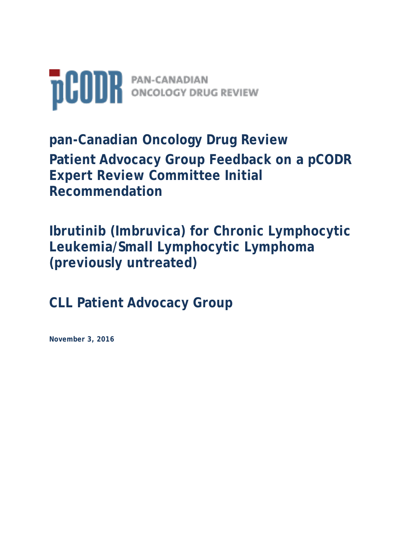

**pan-Canadian Oncology Drug Review Patient Advocacy Group Feedback on a pCODR Expert Review Committee Initial Recommendation** 

**Ibrutinib (Imbruvica) for Chronic Lymphocytic Leukemia/Small Lymphocytic Lymphoma (previously untreated)**

**CLL Patient Advocacy Group**

**November 3, 2016**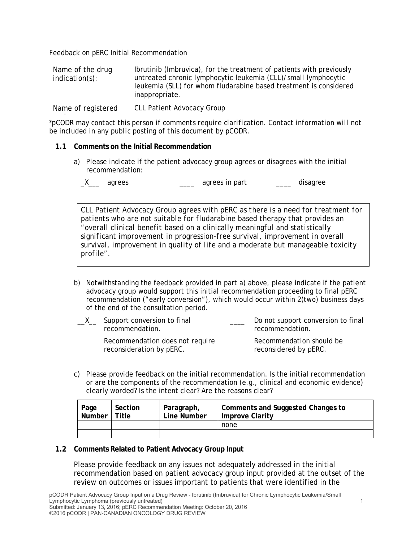Feedback on pERC Initial Recommendation

Name of the drug indication(s): Ibrutinib (Imbruvica), for the treatment of patients with previously untreated chronic lymphocytic leukemia (CLL)/small lymphocytic leukemia (SLL) for whom fludarabine based treatment is considered inappropriate.

Name of registered CLL Patient Advocacy Group

*\*pCODR may contact this person if comments require clarification. Contact information will not*  i *be included in any public posting of this document by pCODR.*

### **1.1 Comments on the Initial Recommendation**

a) Please indicate if the patient advocacy group agrees or disagrees with the initial recommendation:

\_X\_\_\_ agrees \_\_\_\_ agrees in part \_\_\_\_ disagree

*CLL Patient Advocacy Group agrees with pERC as there is a need for treatment for patients who are not suitable for fludarabine based therapy that provides an "overall clinical benefit based on a clinically meaningful and statistically significant improvement in progression-free survival, improvement in overall survival, improvement in quality of life and a moderate but manageable toxicity profile".* 

b) Notwithstanding the feedback provided in part a) above, please indicate if the patient advocacy group would support this initial recommendation proceeding to final pERC recommendation ("early conversion"), which would occur within 2(two) business days of the end of the consultation period.

| Support conversion to final<br>recommendation.              | Do not support conversion to final<br>recommendation. |
|-------------------------------------------------------------|-------------------------------------------------------|
| Recommendation does not require<br>reconsideration by pERC. | Recommendation should be<br>reconsidered by pERC.     |

c) Please provide feedback on the initial recommendation. Is the initial recommendation or are the components of the recommendation (e.g., clinical and economic evidence) clearly worded? Is the intent clear? Are the reasons clear?

| Page<br><b>Number</b> | Section<br>Title | Paragraph,<br>Line Number | Comments and Suggested Changes to<br><b>Improve Clarity</b> |
|-----------------------|------------------|---------------------------|-------------------------------------------------------------|
|                       |                  |                           | none                                                        |
|                       |                  |                           |                                                             |

### **1.2 Comments Related to Patient Advocacy Group Input**

Please provide feedback on any issues not adequately addressed in the initial recommendation based on patient advocacy group input provided at the outset of the review on outcomes or issues important to patients that were identified in the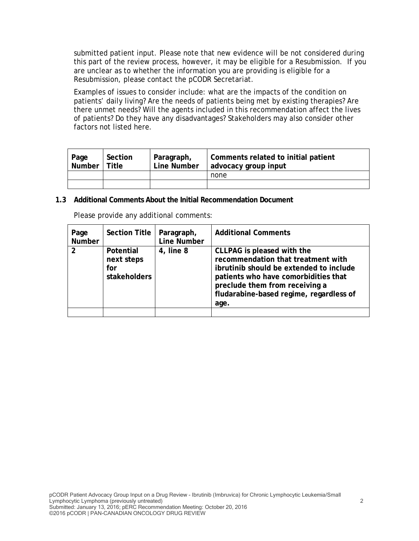submitted patient input. Please note that new evidence will be not considered during this part of the review process, however, it may be eligible for a Resubmission. If you are unclear as to whether the information you are providing is eligible for a Resubmission, please contact the pCODR Secretariat.

Examples of issues to consider include: what are the impacts of the condition on patients' daily living? Are the needs of patients being met by existing therapies? Are there unmet needs? Will the agents included in this recommendation affect the lives of patients? Do they have any disadvantages? Stakeholders may also consider other factors not listed here.

| Page<br>Number | Section<br>l Title | Paragraph,<br>Line Number | Comments related to initial patient<br>advocacy group input |
|----------------|--------------------|---------------------------|-------------------------------------------------------------|
|                |                    |                           | none                                                        |
|                |                    |                           |                                                             |

### **1.3 Additional Comments About the Initial Recommendation Document**

| Page<br>Number | <b>Section Title</b>                                  | Paragraph,<br><b>Line Number</b> | <b>Additional Comments</b>                                                                                                                                                                                                               |
|----------------|-------------------------------------------------------|----------------------------------|------------------------------------------------------------------------------------------------------------------------------------------------------------------------------------------------------------------------------------------|
| $\mathcal{P}$  | Potential<br>next steps<br>for<br><b>stakeholders</b> | 4, line 8                        | CLLPAG is pleased with the<br>recommendation that treatment with<br>ibrutinib should be extended to include<br>patients who have comorbidities that<br>preclude them from receiving a<br>fludarabine-based regime, regardless of<br>age. |
|                |                                                       |                                  |                                                                                                                                                                                                                                          |

Please provide any additional comments: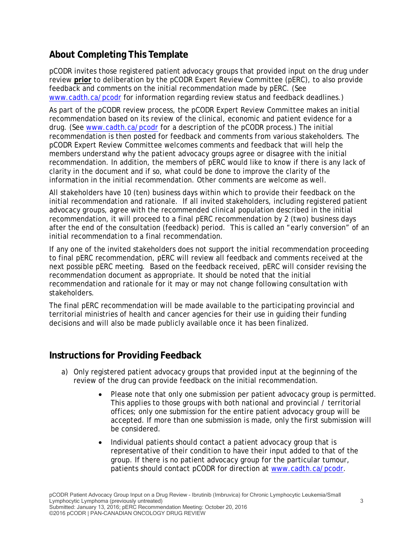# **About Completing This Template**

pCODR invites those registered patient advocacy groups that provided input on the drug under review **prior** to deliberation by the pCODR Expert Review Committee (pERC), to also provide feedback and comments on the initial recommendation made by pERC. (See www.cadth.ca/pcodr for information regarding review status and feedback deadlines.)

As part of the pCODR review process, the pCODR Expert Review Committee makes an initial recommendation based on its review of the clinical, economic and patient evidence for a drug. (See www.cadth.ca/pcodr for a description of the pCODR process.) The initial recommendation is then posted for feedback and comments from various stakeholders. The pCODR Expert Review Committee welcomes comments and feedback that will help the members understand why the patient advocacy groups agree or disagree with the initial recommendation. In addition, the members of pERC would like to know if there is any lack of clarity in the document and if so, what could be done to improve the clarity of the information in the initial recommendation. Other comments are welcome as well.

All stakeholders have 10 (ten) business days within which to provide their feedback on the initial recommendation and rationale. If all invited stakeholders, including registered patient advocacy groups, agree with the recommended clinical population described in the initial recommendation, it will proceed to a final pERC recommendation by 2 (two) business days after the end of the consultation (feedback) period. This is called an "early conversion" of an initial recommendation to a final recommendation.

If any one of the invited stakeholders does not support the initial recommendation proceeding to final pERC recommendation, pERC will review all feedback and comments received at the next possible pERC meeting. Based on the feedback received, pERC will consider revising the recommendation document as appropriate. It should be noted that the initial recommendation and rationale for it may or may not change following consultation with stakeholders.

The final pERC recommendation will be made available to the participating provincial and territorial ministries of health and cancer agencies for their use in guiding their funding decisions and will also be made publicly available once it has been finalized.

## **Instructions for Providing Feedback**

- a) Only registered patient advocacy groups that provided input at the beginning of the review of the drug can provide feedback on the initial recommendation.
	- Please note that only one submission per patient advocacy group is permitted. This applies to those groups with both national and provincial / territorial offices; only one submission for the entire patient advocacy group will be accepted. If more than one submission is made, only the first submission will be considered.
	- Individual patients should contact a patient advocacy group that is representative of their condition to have their input added to that of the group. If there is no patient advocacy group for the particular tumour, patients should contact pCODR for direction at www.cadth.ca/pcodr.